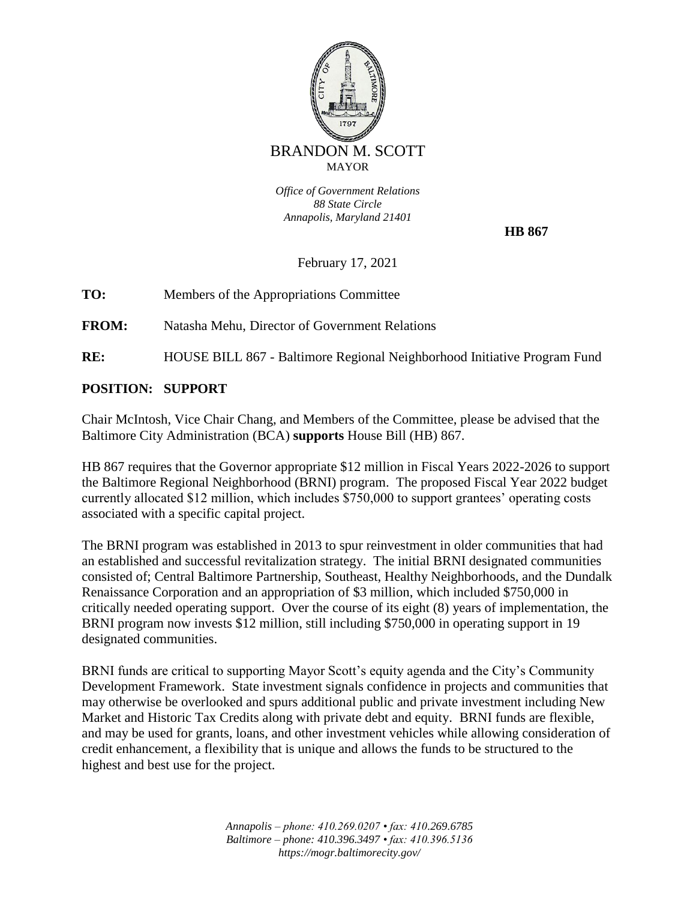

*Office of Government Relations 88 State Circle Annapolis, Maryland 21401*

 **HB 867**

February 17, 2021

**TO:** Members of the Appropriations Committee

**FROM:** Natasha Mehu, Director of Government Relations

**RE:** HOUSE BILL 867 - Baltimore Regional Neighborhood Initiative Program Fund

## **POSITION: SUPPORT**

Chair McIntosh, Vice Chair Chang, and Members of the Committee, please be advised that the Baltimore City Administration (BCA) **supports** House Bill (HB) 867.

HB 867 requires that the Governor appropriate \$12 million in Fiscal Years 2022-2026 to support the Baltimore Regional Neighborhood (BRNI) program. The proposed Fiscal Year 2022 budget currently allocated \$12 million, which includes \$750,000 to support grantees' operating costs associated with a specific capital project.

The BRNI program was established in 2013 to spur reinvestment in older communities that had an established and successful revitalization strategy. The initial BRNI designated communities consisted of; Central Baltimore Partnership, Southeast, Healthy Neighborhoods, and the Dundalk Renaissance Corporation and an appropriation of \$3 million, which included \$750,000 in critically needed operating support. Over the course of its eight (8) years of implementation, the BRNI program now invests \$12 million, still including \$750,000 in operating support in 19 designated communities.

BRNI funds are critical to supporting Mayor Scott's equity agenda and the City's Community Development Framework. State investment signals confidence in projects and communities that may otherwise be overlooked and spurs additional public and private investment including New Market and Historic Tax Credits along with private debt and equity. BRNI funds are flexible, and may be used for grants, loans, and other investment vehicles while allowing consideration of credit enhancement, a flexibility that is unique and allows the funds to be structured to the highest and best use for the project.

> *Annapolis – phone: 410.269.0207 • fax: 410.269.6785 Baltimore – phone: 410.396.3497 • fax: 410.396.5136 https://mogr.baltimorecity.gov/*